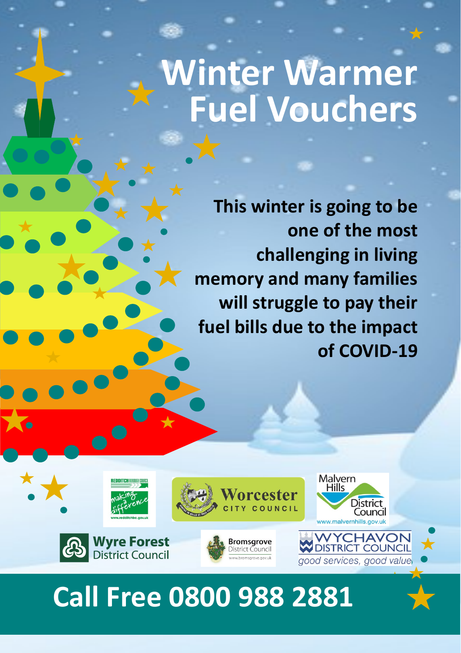# **Winter Warmer Fuel Vouchers**

**This winter is going to be one of the most challenging in living memory and many families will struggle to pay their fuel bills due to the impact of COVID-19**



### **Call Free 0800 988 2881**